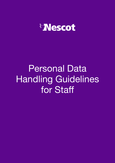

# Personal Data Handling Guidelines for Staff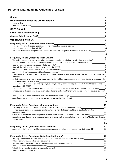## **Personal Data Handling Guidelines for Staff**

| <b>Context</b>                                                                                                                                                                                                                                                                                      | 4                   |
|-----------------------------------------------------------------------------------------------------------------------------------------------------------------------------------------------------------------------------------------------------------------------------------------------------|---------------------|
|                                                                                                                                                                                                                                                                                                     | 4                   |
| Personal data<br><u> 1989 - Johann Stoff, deutscher Stoffen und der Stoffen und der Stoffen und der Stoffen und der Stoffen und der</u>                                                                                                                                                             | 4                   |
|                                                                                                                                                                                                                                                                                                     | 4                   |
|                                                                                                                                                                                                                                                                                                     | 5                   |
| Lawful Basis for Processing Manual Account of the Case of the Case of the Case of the Case of the Case of the                                                                                                                                                                                       | 5                   |
|                                                                                                                                                                                                                                                                                                     |                     |
| Use of Emails and SMS<br><u>Sandan Barrelline</u> and SMS<br>Sandan Barrelline and SMS<br>Sandan Barrelline and SMS<br>Sandan Barrelline and SMS<br>Sandan Barrelline and SMS<br>Sandan Barrelline and SMS<br>Sandan Barrelline and SMS<br>Sandan B                                                 |                     |
| Frequently Asked Questions (Data Access)<br>Can I keep my own database/spreadsheet containing student personal details?<br>4                                                                                                                                                                        |                     |
|                                                                                                                                                                                                                                                                                                     |                     |
| Can I transport personal data off-site?<br><u> 1989 - Johann Stoff, deutscher Stoff, der Stoff, der Stoff, der Stoff, der Stoff, der Stoff, der Stoff, der S</u>                                                                                                                                    | 41<br>4             |
|                                                                                                                                                                                                                                                                                                     | 5                   |
|                                                                                                                                                                                                                                                                                                     |                     |
| <b>Frequently Asked Questions (Data Sharing)</b><br>The police have contacted me requesting information to assist in a criminal investigation, what do I do?                                                                                                                                        | 5<br>$\overline{5}$ |
| A parent phones to ask me for information about a student. Am I able to release information to them?                                                                                                                                                                                                | 71                  |
| receive a data subject access request what should I do?_<br><u> 1989 - Andrea Station Barbara (h. 1989)</u>                                                                                                                                                                                         | 7                   |
|                                                                                                                                                                                                                                                                                                     | $\overline{7}$      |
| Are confidential references subject to data access requests?<br>Are confidential references subject to data access requests?<br>Are confidential references subject to data access requests?                                                                                                        | 8<br>8              |
| If a company approaches us for a reference for a former student, do we have to contact the former student to request<br>consent?                                                                                                                                                                    | 81                  |
| am in the process of procuring a new cloud-based system which requires access to our student data, what should I do<br>to ensure compliance with GDPR?                                                                                                                                              | 91                  |
| need to share data with an external agency/authority/awarding body/service provider, what should I do to ensure<br>compliance with GDPR?                                                                                                                                                            | 9                   |
| An employer phones to ask me for information about an apprentice. Am I able to release information to them?<br>am required to share information with an external agency or local authority, what should I have in place to allow this?                                                              | 91<br>- 9           |
| How do I share personal and sensitive information outside of the College?                                                                                                                                                                                                                           | $\overline{9}$      |
| A third party has asked me to share someone's contact details. Can I share?                                                                                                                                                                                                                         | 9                   |
|                                                                                                                                                                                                                                                                                                     | 10                  |
| <b>Frequently Asked Questions (Communications)</b>                                                                                                                                                                                                                                                  | 10                  |
| Are "keep warm communications" to applicants classed as marketing communications?                                                                                                                                                                                                                   | 101                 |
| do not have consents to contact past employers/clients, how do I get around this, to send out marketing<br>communications?                                                                                                                                                                          | 101                 |
| would like to send out a marketing communication. What should I do to ensure GDPR compliance? 10                                                                                                                                                                                                    |                     |
| sometimes record casual, unprofessional comments about staff or students in emails and on ProMonitor. Are there any<br>implications?<br><u> 1989 - Andrea San Andrea San Andrea San Andrea San Andrea San Andrea San Andrea San Andrea San Andrea San An</u>                                        | 10                  |
|                                                                                                                                                                                                                                                                                                     | 11                  |
| <b>Frequently Asked Questions (Data Currency)</b>                                                                                                                                                                                                                                                   | 11                  |
| A student or staff member wishing to update their personal details on our systems. How do they do this?                                                                                                                                                                                             | 11                  |
|                                                                                                                                                                                                                                                                                                     | 11                  |
| <b>Frequently Asked Questions (Data Security/Storage)</b><br><b>Example 1 Section Condom Condom Condom Condom Condom Condom Condom Condom Condom Condom Condom Condom Condom C</b><br>We keep student work files and portfolios in our staff office on shelves, is that permissible?_______________ | 11<br>11            |
| When I leave my shared office can I leave my PC on?                                                                                                                                                                                                                                                 | 11                  |
| We keep paper copies of forms that contain personal information is that fine?<br>We keep paper copies of forms that contain personal information is that fine?                                                                                                                                      | 11                  |
|                                                                                                                                                                                                                                                                                                     | 11                  |
|                                                                                                                                                                                                                                                                                                     | 12<br>12            |
|                                                                                                                                                                                                                                                                                                     |                     |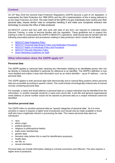## <span id="page-2-0"></span>**Context**

On 25<sup>th</sup> May 2018 the General Data Protection Regulations (GDPR) became a part of UK legislation. It supersedes the Data Protection Act 1998 (DPA) and the UK's implementation of this is being referred to as the Data Protection Act 2018. The main intent of the GDPR is to give individuals more control over their personal data, impose stricter rules to companies handling it and make sure companies embrace new technology to process the influx of data produced.

All NESCOT current and new staff, who work with data of any form, are required to undertake online Educare Training, in order to become familiar with the regulation. These guidelines are to support this training in order to contextualise the GDPR to NESCOT's operations. Staff should also be familiar with the following associated policies and procedures relating to data protection which contain the full detail:

- **NESCOT Data [Protection](https://portal.nescot.ac.uk/quality/Policies/Data%20Protection%20and%20Finance/NESCOT%20Data%20Protection%20Policy%20-%20Jun-18.docx) Policy**
- NESCOT Personal Data Breach Policy and [Notification](https://portal.nescot.ac.uk/quality/Policies/Data%20Protection%20and%20Finance/NESCOT%20Personal%20Data%20Breach%20Policy%20and%20Notification%20Procedure.docx) Procedure
- NESCOT Rights of [Individuals](https://portal.nescot.ac.uk/quality/Policies/Data%20Protection%20and%20Finance/NESCOT%20Rights%20of%20Individuals%20Policy%20and%20Procedure.docx) Policy and Procedure
- **NESCOT Records [Retention](https://portal.nescot.ac.uk/quality/Policies/Data%20Protection%20and%20Finance/NESCOT%20Records%20Retention%20Policy.docx) Policy**
- **Direct Marketing [Guidelines](https://portal.nescot.ac.uk/quality/Policies/Data%20Protection%20and%20Finance/Staff%20Guidelines%20for%20Direct%20Marketing%20-%20FINAL%20%20-%20Jun-18.docx) for Staff**

### <span id="page-2-1"></span>**What information does the GDPR apply to?**

#### <span id="page-2-2"></span>**Personal data**

The GDPR applies to 'personal data' meaning any information relating to an identifiable person who can be directly or indirectly identified in particular by reference to an identifier. The GDPR's definition is now more detailed and makes it clear that information such as an online identifier – eg an IP address – can be personal data.

The GDPR applies to both personal data held electronically and to manual filing systems where personal data are accessible according to specific criteria. This could include chronologically ordered sets of manual records containing personal data

For example, a name and email address is personal data as a unique individual may be identified from the information, or another example would be a name and course title. A job title and general organisational email address or phone number would not be classed as personal data as a unique individual cannot be identified.

#### <span id="page-2-3"></span>**Sensitive personal data**

The GDPR refers to sensitive personal data as "special categories of personal data". As it is more sensitive in nature it requires a higher level of protection and should only be made available to those staff who have a legitimate interest in processing the data. This means personal data about an individual's:

- race:
- ethnic origin;
- political opinions;
- religious or philosophical beliefs;
- trade union membership;
- qenetic data:
- biometric data (where this is used for identification purposes);
- health data:
- sex life; or
- sexual orientation.

Personal data can include information relating to criminal convictions and offences. This also requires a higher level of protection.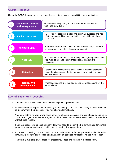## <span id="page-3-0"></span>**GDPR Principles**

Under the GPDR the data protection principles set out the main responsibilities for organisations.

| <b>Lawfulness, fairness</b><br>and transparency | Processed lawfully, fairly and in a transparent manner in<br>relation to individuals.                                                                          |
|-------------------------------------------------|----------------------------------------------------------------------------------------------------------------------------------------------------------------|
| <b>Limited purposes</b>                         | Collected for specified, explicit and legitimate purposes and not<br>further processed in a manner that is incompatible with those<br>purposes.                |
| <b>Minimise Data</b>                            | Adequate, relevant and limited to what is necessary in relation<br>to the purposes for which they are processed.                                               |
| <b>Accuracy</b>                                 | Accurate and, where necessary, kept up to date; every reasonable<br>step must be taken to ensure that personal data that are<br>inaccurate.                    |
| <b>Retention</b>                                | Kept in a form which permits identification of data subjects for no<br>longer than is necessary for the purposes for which the personal<br>data are processed. |
| <b>Integrity and</b><br>confidentiality         | Processed in a manner that ensures appropriate security of the<br>personal data.                                                                               |

## <span id="page-3-1"></span>**Lawful Basis for Processing**

- You must have a valid lawful basis in order to process personal data.
- Most lawful bases require that processing is 'necessary'. If you can reasonably achieve the same purpose without the processing, you won't have a lawful basis.
- You must determine your lawful basis before you begin processing, and you should document it. Take care to get it right first time - you should not swap to a different lawful basis at a later date without good reason.
- If you are processing special category data you need to identify both a lawful basis for general processing and an additional condition for processing this type of data.
- If you are processing criminal conviction data or data about offences you need to identify both a lawful basis for general processing and an additional condition for processing this type of data.
- There are 6 available lawful bases for processing. These are outlined in the table below.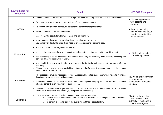| <b>Lawful basis for</b><br>processing | <b>Detail</b>                                                                                                                                                                                                                                                                                                                                                                                                                                                                                                                                                                                                                                                                                                     | <b>NESCOT Examples</b>                                                                                                                               |
|---------------------------------------|-------------------------------------------------------------------------------------------------------------------------------------------------------------------------------------------------------------------------------------------------------------------------------------------------------------------------------------------------------------------------------------------------------------------------------------------------------------------------------------------------------------------------------------------------------------------------------------------------------------------------------------------------------------------------------------------------------------------|------------------------------------------------------------------------------------------------------------------------------------------------------|
| Consent                               | • Consent requires a positive opt-in. Don't use pre-ticked boxes or any other method of default consent.<br>• Explicit consent requires a very clear and specific statement of consent.<br>• Be specific and 'granular' so that you get separate consent for separate things.<br>• Vague or blanket consent is not enough.<br>• Make it easy for people to withdraw consent and tell them how.<br>• Keep evidence of consent - who, when, how, and what you told people.                                                                                                                                                                                                                                          | • Discussing progress<br>with parents and<br>employers,<br>• Sending marketing<br>communications about<br>learning opportunities<br>and/or services. |
| Contractual                           | • You can rely on this lawful basis if you need to process someone's personal data:<br>• to fulfil your contractual obligations to them; or<br>• because they have asked you to do something before entering into a contract (eg provide a quote).<br>• The processing must be necessary. If you could reasonably do what they want without processing their<br>personal data, this basis will not apply.<br>• You should document your decision to rely on this lawful basis and ensure that you can justify your<br>reasoning.                                                                                                                                                                                  | • Staff banking details<br>for salary payment                                                                                                        |
| <b>Vital interest</b>                 | You are likely to be able to rely on vital interests as your lawful basis if you need to process the personal<br>data to protect someone's life.<br>The processing must be necessary. If you can reasonably protect the person's vital interests in another<br>$\bullet$<br>less intrusive way, this basis will not apply.<br>You cannot rely on vital interests for health data or other special category data if the individual is capable<br>$\bullet$<br>of giving consent, even if they refuse their consent.<br>You should consider whether you are likely to rely on this basis, and if so document the circumstances<br>$\bullet$<br>where it will be relevant and ensure you can justify your reasoning. | you would only use this in<br>an emergency<br>safeguarding or medical<br>situation.                                                                  |
| Public task                           | You can rely on this lawful basis if you need to process personal data:<br>$\bullet$<br>'in the exercise of official authority'. This covers public functions and powers that are set out<br>$\circ$<br>in law; or<br>to perform a specific task in the public interest that is set out in law.                                                                                                                                                                                                                                                                                                                                                                                                                   | Sharing data with the<br>police or other public<br>authority in relation to a<br>criminal investigation.                                             |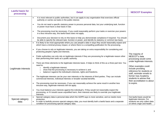| <b>Lawful basis for</b><br>processing | <b>Detail</b>                                                                                                                                                                                                                                                                                                                                                                                                                                                                                                                                                                                                                                                                                                                                                                                                                                                                                                                                                                                                                                                                                                                                                                                                                                                                                                                                                                                                                                                                                                                                                                                                               | <b>NESCOT Examples</b>                                                                                                                                                                                                                                                                         |
|---------------------------------------|-----------------------------------------------------------------------------------------------------------------------------------------------------------------------------------------------------------------------------------------------------------------------------------------------------------------------------------------------------------------------------------------------------------------------------------------------------------------------------------------------------------------------------------------------------------------------------------------------------------------------------------------------------------------------------------------------------------------------------------------------------------------------------------------------------------------------------------------------------------------------------------------------------------------------------------------------------------------------------------------------------------------------------------------------------------------------------------------------------------------------------------------------------------------------------------------------------------------------------------------------------------------------------------------------------------------------------------------------------------------------------------------------------------------------------------------------------------------------------------------------------------------------------------------------------------------------------------------------------------------------------|------------------------------------------------------------------------------------------------------------------------------------------------------------------------------------------------------------------------------------------------------------------------------------------------|
|                                       | It is most relevant to public authorities, but it can apply to any organisation that exercises official<br>$\bullet$<br>authority or carries out tasks in the public interest.<br>You do not need a specific statutory power to process personal data, but your underlying task, function<br>$\bullet$<br>or power must have a clear basis in law.<br>The processing must be necessary. If you could reasonably perform your tasks or exercise your powers<br>$\bullet$<br>in a less intrusive way, this lawful basis does not apply.<br>Document your decision to rely on this basis to help you demonstrate compliance if required. You should<br>$\bullet$                                                                                                                                                                                                                                                                                                                                                                                                                                                                                                                                                                                                                                                                                                                                                                                                                                                                                                                                                               |                                                                                                                                                                                                                                                                                                |
| Legitimate interests                  | be able to specify the relevant task, function or power, and identify its statutory or common law basis.<br>It is likely to be most appropriate where you use people's data in ways they would reasonably expect and<br>$\bullet$<br>which have a minimal privacy impact, or where there is a compelling justification for the processing.<br>If you choose to rely on legitimate interests, you are taking on extra responsibility for considering and<br>$\bullet$<br>protecting people's rights and interests.<br>Public authorities can only rely on legitimate interests if they are processing for a legitimate reason other<br>$\bullet$<br>than performing their tasks as a public authority.<br>There are three elements to the legitimate interests basis. It helps to think of this as a three-part test. You<br>need to:<br>identify a legitimate interest;<br>$\circ$<br>show that the processing is necessary to achieve it; and<br>$\circ$<br>balance it against the individual's interests, rights and freedoms.<br>$\circ$<br>The legitimate interests can be your own interests or the interests of third parties. They can include<br>commercial interests, individual interests or broader societal benefits.<br>The processing must be necessary. If you can reasonably achieve the same result in another less<br>intrusive way, legitimate interests will not apply.<br>You must balance your interests against the individual's. If they would not reasonably expect the<br>processing, or if it would cause unjustified harm, their interests are likely to override your legitimate<br>interests. | The majority of<br>NESCOT's data<br>processing would come<br>under legitimate interests.<br>Other examples could<br>include providing<br>reference for students or<br>staff, reminder emails to<br>former Gas Academy<br>students to advise that<br>their accreditation is about<br>to expire. |
| Special category<br>data              | Special category data is personal data which the GDPR says is more sensitive, and so needs more<br>protection.<br>In order to lawfully process special category data, you must identify both a lawful basis and a separate<br>condition for processing special category data.                                                                                                                                                                                                                                                                                                                                                                                                                                                                                                                                                                                                                                                                                                                                                                                                                                                                                                                                                                                                                                                                                                                                                                                                                                                                                                                                               | Out lawful basis would be<br>legitimate interests. For<br>students we only collect data<br>on ethnic origin and health.                                                                                                                                                                        |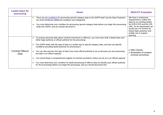| <b>Lawful basis for</b><br>processing | <b>Detail</b>                                                                                                                                                                                                                                                                                                                                                                                                                                                                                                                                                                                                                                                                                                                                                                                                          | <b>NESCOT Examples</b>                                                                                                                                                                                                                          |
|---------------------------------------|------------------------------------------------------------------------------------------------------------------------------------------------------------------------------------------------------------------------------------------------------------------------------------------------------------------------------------------------------------------------------------------------------------------------------------------------------------------------------------------------------------------------------------------------------------------------------------------------------------------------------------------------------------------------------------------------------------------------------------------------------------------------------------------------------------------------|-------------------------------------------------------------------------------------------------------------------------------------------------------------------------------------------------------------------------------------------------|
|                                       | There are ten conditions for processing special category data in the GDPR itself, but the Data Protection<br>Act 2018 introduces additional conditions and safeguards.<br>You must determine your condition for processing special category data before you begin this processing<br>under the GDPR, and you should document it.                                                                                                                                                                                                                                                                                                                                                                                                                                                                                       | We have a contractual<br>requirement to collect this<br>data for our funding bodies<br>the ESFA (FE) and the OfS<br>(HE). As an organisation we<br>would use it to monitor for<br>Equal Opps purposes and<br>enable use to support<br>learning. |
| <b>Criminal Offence</b><br>Data       | To process personal data about criminal convictions or offences, you must have both a lawful basis and<br>either legal authority or official authority for the processing.<br>The GDPR deals with this type of data in a similar way to special category data, and sets out specific<br>conditions providing lawful authority for processing it.<br>You can also process this type of data if you have official authority to do so because you are processing<br>the data in an official capacity.<br>You cannot keep a comprehensive register of criminal convictions unless you do so in an official capacity.<br>You must determine your condition for lawful processing of offence data (or identify your official authority<br>for the processing) before you begin the processing, and you should document this. | • DBS Checks,<br>• declaration of unspent<br>criminal convictions                                                                                                                                                                               |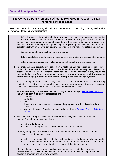## **The College's Data Protection Officer is Rob Greening, 0208 394 3241, [rgreening@nescot.ac.uk](mailto:rgreening@nescot.ac.uk)**

These principles apply to staff employed in all capacities at NESCOT, including voluntary staff such as governors and those on work placements.

- 1. All staff will process data about students on a regular basis, when marking registers, writing reports or references, or as part of a pastoral or academic supervisory role. Nescot will ensure through registration procedures, that all students give their consent to this sort of processing, and are notified of the categories of processing, as required by the 2018 Act. The information that staff deal with on a day-to-day basis will be 'standard' and will cover categories such as:
	- General personal details such as name and address,
	- Details about class attendance, course work marks and grades and associated comments.
	- Notes of personal supervision, including matters about behaviour and discipline.
- 2. Information about a student's physical or mental health; sexual life; political or religious views; trade union membership or ethnicity or race is sensitive and can only be collected and processed with the students' consent. If staff need to record this information, they should use the standard College forms and systems. **Under no circumstances may this information be stored outside (e.g. on locally held spreadsheets) of the core college systems.**

E.g.: recording information about dietary needs, for religious or health reasons prior to taking students on a field trip; recording information that a student is pregnant, as part of pastoral duties; recording information about a student's learning support needs.

- 3. All staff have a duty to make sure that they comply with the College's [Data Protection Policy.](https://portal.nescot.ac.uk/quality/Policies/Data%20Protection%20and%20Finance/NESCOT%20Data%20Protection%20Policy%20-%20Jun-18.docx) In particular, staff must ensure that records are:
	- accurate;
	- up-to-date;
	- fair;
	- limited to what is necessary in relation to the purpose for which it is collected and used.
	- kept and disposed of safely, and in accordance with the [College's Record Retention](https://portal.nescot.ac.uk/quality/Policies/Data%20Protection%20and%20Finance/NESCOT%20Records%20Retention%20Policy.docx) **Policy**
- 4. Staff must seek and get specific authorisation from a designated data controller (their manager) to hold or process data that is:
	- not standard data; or
	- sensitive data (eg the sort of information described in 2 above).

The only exception to this will be if a non-authorised staff member is satisfied that the processing of the data is necessary:

- in the best interests of the student or staff member, or a third person, or Nescot; AND
- he or she has either informed the authorised person of this, or has been unable to do so and processing is urgent and necessary in all the circumstances.

This should only happen in very limited circumstances, e.g. a student is injured and unconscious, but in need of medical attention, and a staff tutor tells the hospital that the student is pregnant or a Jehovah's witness.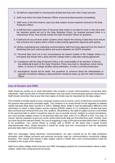- 5. All staff are responsible for ensuring that all data that they work with is kept securely.
- 6. Staff must inform the Data Protection Officer of personal data breaches immediately.
- 7. Staff must, in the first instance, pass any data subject access requests received to the Data Protection Officer.
- 8. If staff feel that a particular item of Personal Data needs to be kept for more or less time than the retention period set out in the Data Retention Policy, for example because there is a requirement of law, they should contact the Data Protection Officer for guidance.
- 9. If staff procure any services and/or systems which require the sharing of data they must ensure that contracts are in place which contain a data sharing agreement signed by both parties.
- 10. Before undertaking any marketing communications staff must have approval from the Head of Marketing that such communications and source datasets are GDPR compliant.
- 11. Personal data must not in any circumstances be shared outside of the College unless it is encrypted and shared with a party that the College holds a valid data sharing agreement.
- 12. Compliance with the Data Protection Policy is the responsibility of all members of Nescot. Any deliberate breach of the Data Protection Policy may lead to disciplinary action being taken, or access to College facilities being withdrawn, or even a criminal prosecution.
- 13. Assumptions should not be made. Any questions or concerns about the interpretation or operation of policies relating to data protection should be taken up with the Data Protection Officer.

## <span id="page-8-0"></span>**Use of Emails and SMS**

Staff should be careful as to what information they include in email communications concerning other individuals. Staff should stick to factual information only and avoid communicating opinions about others. Staff should remember that at any time that copies of emails may be requested by the data subject.

The contents of emails stored on your computer systems are,of course, a form of electronic record to which the general data protection principles apply. The contents of an email should not be regarded as deleted merely because ithas been moved to a user's 'Deleted items' folder.It may be particularly difficult to find information to which a data subject access request (DSAR) relates if it is contained in emails that have been archived and removed from your 'live' systems. Nevertheless, the right of subject access is not limited to the personal data to which it would be easy for you to provide access. Subject to certain exemptions, you must provide subject access to all personal data you hold, even if it is difficult to find. You may, of course, ask the requester to give you some context that would help you find what they want. Usually, once you have found the relevant emails, the cost of supplying a copy of the personal data within them is unlikely to be prohibitive. You cannot refuse to comply with a DSAR on the basis that it would involve disproportionate effort, simply because it would be costly and time consuming to find the requested personal data held in archived emails.

SMS text messages, being electronic communications, are also covered by by the data protection principles, both college accounts and personal accounts used for communications concerning college business. This means that should a data subject submit a DSAR then such communications could be included in the scope of the request.

Staff must utilise college email accounts and SMS messaging systems for communications about a data subject, rather than using personal accounts.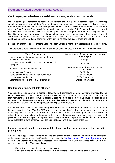#### <span id="page-9-1"></span><span id="page-9-0"></span>**Can I keep my own database/spreadsheet containing student personal details?**

No. It is college policy that staff do not keep and maintain their own personal databases (or spreadsheets) containing students' personal data. Storage of student personal data is limited to cross college systems. Should a staff member feel that the college systems not have the facility to store certain datasets then either the Vice Principal Planning & Information Services or the Head of Data Services should be consulted to review such datasets and their uses to see if provision for storage may be made in college systems. Should it be the case that provision is not able to be made within the core systems then the Vice Principal will review the datasets, assess data controls and security and if satisfied approve the use of the database/spreadsheet. By not complying with this you increase the risk of breaching GDPR.

It is the duty of staff to ensure that the Data Protection Officer is informed of all local data storage systems.

The appropriate core systems where information may only be stored may be seen in the table below:

| Type of personal data                                           | System where information may only be held         |
|-----------------------------------------------------------------|---------------------------------------------------|
| Learner enrolment records and contact details                   | <b>EBS &amp; PICS</b>                             |
| Employer contact details                                        | ProEngage                                         |
| Unit assessment tracking and monitoring data (all<br>provision) | ProMonitor                                        |
| Applicant records and contact details                           | Engage2Serve Applicant Management<br>System / EBS |
| <b>Apprenticeship Reviews</b>                                   | ProMonitor                                        |
| Personal records relating to financial support                  | PayMyStudent                                      |
| <b>Learning Support Records</b>                                 | <b>EBS/ ProMonitor</b>                            |
| Other stakeholder client contact information                    | Sharepoint/ Outlook                               |

#### <span id="page-9-2"></span>**Can I transport personal data off-site?**

You should not take any student personal data off-site. This includes storage on external memory devices such as USB sticks, laptops and personal electronic devices such as mobile phones and tablets. Should staff members wish to access student personal data when off-site then the data must be stored on and accessed from the college Sharepoint site or OneDrive. When accessing such data off-site then the staff member must ensure that the data protection principles are adhered to.

Staff should avoid using public cloud storage solutions as often the servers on which data is stored may be located outside of the EEA. The DPA requires that personal data "shall not be transferred to any country or territory outside the European Economic Area (EEA) unless that country or territory ensures an adequate level of protection for the rights and freedoms of data subjects in relation to the processing of personal data." For example, the popular cloud storage solution, Dropbox, stores files in secure storage servers. located in data centers across the United States, and thus outside of the EEA.

#### <span id="page-9-3"></span>**I access my work emails using my mobile phone, are there any safeguards that I need to put in place?**

You must have appropriate security in place to prevent the personal data you hold from being accidently or deliberately compromised. Staff need to comply with the *[Staff Acceptable IT Usage Agreement](https://portal.nescot.ac.uk/quality/Policies/ILT/Staff_Acceptable_Use_Agreement.pdf)*[.](https://portal.nescot.ac.uk/quality/Policies/ILT/Staff_Acceptable_Use_Agreement.pdf) You need to take appropriate measures to protect against unauthorised or unlawful access, for example if the device is lost or stolen. Thus, you should;

- Use a strong password to secure your devices;
- Avoid downloading emails to a removable memory card, such as a micro or mini SD card;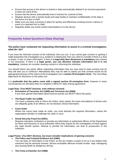- <span id="page-10-0"></span>• Ensure that access to the device is locked or data automatically deleted if an incorrect password is input too many times;
- Ensure that the device automatically locks if inactive for a period of time;
- Register devices with a remote locate and wipe facility to maintain confidentiality of the data in the event of a loss or theft;
- Make sure you have a process in place for quickly and effectively revoking access a device in event of a reported loss or theft;
- Regularly delete any email content downloaded on to the device.

## <span id="page-10-1"></span>**Frequently Asked Questions (Data Sharing)**

#### <span id="page-10-2"></span>**The police have contacted me requesting information to assist in a criminal investigation, what do I do?**

If you have the informed consent of the individual, then you can. If you cannot gain consent or gaining it might jeopardize the investigation (e.g. evidence is destroyed), then you need to consider if there is a duty or power, in law, to share information. If there is **a legal duty then disclosure is mandatory** and consent is not necessary. If there is **a legal power, you can disclose relevant information but it is not mandatory**, however do consider seeking consent or informing the individual.

You should inform any police officer requesting information that you may need to seek consent and do they still wish you to continue? Alternatively they may be able to satisfy you that consent would not be appropriate because of the nature of the investigation (via a **section 29 exemption form**). The most likely legal basis for disclosure to the police are:

It is **preferable that the police come with a signed section 29 exemption form**, however in some circumstances we will allow them to complete a NESCOT data sharing agreement.

#### **Legal Duty: (You MUST disclose, even without consent)**

- **Prevention of Terrorism Act (1989) and Terrorism Act (2000)** If you have gained information about terrorist activity you MUST inform the police.
- **The Road Traffic Act (1988)**

You have a statutory duty to inform the Police, when asked, the name and address of drivers who are allegedly guilty of an offence; do not disclose clinical information.

• **Court Order**

Where the courts have made an order, you must disclose the required information, unless the organisation decides to challenge the order in court.

#### • **Social Security Fraud Act (2001)**

Requires education institutions to provide any information to authorised officers of the Department for Work and Pensions or local authorities which they require for the investigation of fraud against the state benefit system. Refusal to provide the information can lead to prosecution of the institution.

#### **Legal Power: (You MAY disclose, but must consider implications of gaining consent)**

- **The Police and Criminal Evidence Act (1984)** You can pass on information to the Police, as the act creates a power to do so if you believe that someone may be seriously harmed. Serious arrestable offences include murder, rape, kidnapping and causing death by dangerous driving.
- **The Crime & Disorder Act (1998)**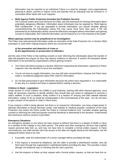Information may be required on an individual if there is a need for strategic cross-organisational planning to detect, prevent or reduce crime and disorder that an individual may be involved in. A nominated officer deals with such requests.

#### • **Multi Agency Public Protection (includes the Probation Service)**

The Criminal Justice and Court Services Act 2000, sets the framework for sharing information about potentially dangerous offenders. Information about individuals may be required by 'Multi Agency Risk Conferences'. If you are requested to provide information, you should consider gaining consent/informing the individual(s) unless this may cause more harm than good. If the risk presented by an individual(s) clearly cannot be effectively managed without information and gaining consent is inadvisable, then relevant information can be shared as it is in the interests of the public.

#### **Where gaining consent may be prejudicial to an investigation:**

The Police may seek personal information under an exemption of the Data Protection Act. A Section 29(3) exemption is used when making enquires which are concerned with:

#### **a) the prevention and detection of crime or b) the apprehension or prosecution of offenders**

and the view of the Police is that seeking consent or even informing the individual(s) about the transfer of data will prejudice the enquiry as they may destroy evidence or abscond. A section 29 exemption allows information to be provided by organisations without gaining consent.

- The Police will need to produce a Section 29(3) form requesting the information, signed by a Police Inspector who has decided to serve the exemption.
- You do not have to supply information, you may still seek consent/inform, however the Police have made a considered judgement about their need for information.
- Do not feel pressurised to give information because the police have requested it. It is reasonable to ask why it is needed and what is required before making a decision.

#### **Children in Need - Legislation:**

Under section 47 of the Children Act (1989) a Local Authority, working with other relevant agencies, must make all necessary enquiries to decide whether they should take any action to safeguard or promote a child's welfare. In such a situation, firstly confirm it is a section 47 enquiry and then release relevant information, unless 'to do so would be unreasonable in the circumstances of the case'. You do not have to gain consent of the parent or child or inform them.

If you suspect a child is being abused, but there is no request for information, you have a legal power to disclose information to Social Services (under 'vital interest' & 'medical purpose' conditions of the Data Protection Act) and/or the Police (under the Police & Criminal Evidence Act). Consider whether gaining consent or informing the child and parents would be beneficial or detrimental to the situation. If detrimental then disclosure without consent is permitted.

#### **Emergency Situations**

An emergency situation is one where we have reason to believe that there is a danger of death or injury to a member of the College or any other person. The police and other emergency services may urgently require personal data from us, and may not have time to complete a formal written request. In these circumstances, any staff member who has access to the data can legally disclose the information, but the safeguards below need to be met:

- 1. If possible, seek the authorisation of a senior manager before providing the data.
- 2. If the request is received by telephone, ask the caller to provide a switchboard number, and call them back through the organisation's switchboard before providing the data. This provides a basic (though not foolproof) way of checking that the call is genuine.
- 3. Ask the enquirer to follow up their request with a formal written request, so that we have this on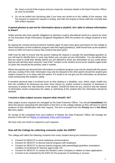file. Keep a record of the enquiry and your response, and pass details to the Data Protection Officer as soon as possible.

4. Do not be bullied into disclosing data if you have any doubt as to the validity of the request. Ask the enquirer to submit the request in writing, and refer the enquiry to those staff who normally deal with written requests

#### <span id="page-12-0"></span>**A parent phones to ask me for information about a student. Am I able to release information to them?**

Unlike schools who have specific obligations to disclose a pupil's educational record to a parent by virtue of The Education (Pupil Information) (England) Regulations 2005 the position for college students is less clear.

By signing the consent during enrolment students aged 18 years have given permission for the college to share information on their academic progress with their legal guardian(s). Staff should look up the student's record on EBS OnTrack to ensure that consent has been given.

Staff must be able to ensure that the person making the request is actually the parent/legal guardian so you will need to identify them in some way before you can give out any information. You can advise them that you need to verify their identity before you are allowed to share any information so you could advise that you will call them back using the "next of kin" number on the student record as for students aged under 19 years this should be the primary carer's number.

Where the parents are divorced then information on academic progress may only be shared with the parent who has custody of the child. Information may only be released to the other parent should the student give explicit consent for us to share with this parent. If in doubt to do not give out the information as disclosure could compromise the students' safety.

If sensitive personal data is involved (such as that relating to a disability, race, ethnic origin, health etc) then the conditions for disclosure are even more robust e.g. explicit consent is required, or disclosure is necessary to protect the vital interests of the student. Should the there be any concerns that the release of information would compromise the safety or well-being of the student then the information should be withheld.

#### <span id="page-12-1"></span>**I receive a data subject access request what should I do?**

Data subject access requests are managed by the Data Protection Officer. You should **immediately** first direct the person requesting the information to the form on the college website as they will have to submit evidence of their identification with their request. The form is located from the **Privacy** item in **the About Us** menu option.

On receipt of the completed form and evidence of identity the Data Protection Officer will manage the process in line with our [Rights of Individuals Policy](https://portal.nescot.ac.uk/quality/Policies/Data%20Protection%20and%20Finance/NESCOT%20Rights%20of%20Individuals%20Policy%20and%20Procedure.docx) and Procedure.

We have only one month to respond to such requests.

#### <span id="page-12-2"></span>**How will the College be collecting consents under the GDPR?**

The college will collect the following consents from every student during the enrolment process:

- Consent for NESCOT to send marketing communications
- Consent for NESCOT to discuss learner progress with employers
- Consent for NESCOT to discuss learner progress with parents/legal guardians (mandatory condition of enrolment for learners aged under 19)
- Consent for NESCOT to contact the Student Loans Company in relation to loans applications
- Consent to be contacted by the ESFA for the purposes of marketing or surveys.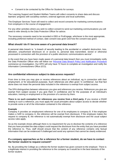Consent to be contacted by the Office for Students for surveys.

The Learning Support and Student Welfare Teams will collect consents to share data and discuss learners' progress with social/key workers, external agencies and local authorities.

The Employer Services Team will need to collect and record consents for marketing communications from employers in the course of engagement.

For any other activities where you wish to collect consent to send out marketing communications you will need to refer directly to the Data Protection Officer for advice.

The necessary consents need to be recorded in EBS or ProEngage, whichever is the most appropriate, including preferred method of contact, date consent was given and how the consent was given.

#### <span id="page-13-0"></span>**What should I do if I become aware of a personal data breach?**

A personal data breach is: "a breach of security leading to the accidental or unlawful destruction, loss, alteration, unauthorised disclosure of, or access to, personal data transmitted, stored or otherwise processed in connection with the provision of a public electronic communications service".

In the event that you have been made aware of a personal data breach then you must immediately notify the Data Protection Officer who will follow our [Personal Data Breach Policy and Notification Procedure](https://portal.nescot.ac.uk/quality/Policies/Data%20Protection%20and%20Finance/NESCOT%20Personal%20Data%20Breach%20Policy%20and%20Notification%20Procedure.docx) commence an investigation. Our DPO will only have 72 hours to complete an investigation and notify the Information Commissioners Office (ICO).

#### <span id="page-13-1"></span>**Are confidential references subject to data access requests?**

From time to time you may give or receive references about an individual, eg in connection with their employment, or for educational purposes. Such references are often given 'in confidence', but that fact alone does not mean the personal data included in the reference is exempt from subject access.

The DPA distinguishes between references you give and references you receive. References you give are exempt from subject access if you give them in confidence and for the purposes of an individual's education, training or employment or the provision of a service by them.

**There is no such exemption for references you receive from a third party. I**f you receive a DSAR relating to such a reference, you must apply the usual principles about subject access to decide whether to provide some or all of the information contained in the reference.

#### **Example**

Company A provides an employment reference for one of its employees to company B. If the employee makes a SAR to company A, the reference will be exempt from disclosure. If the employee makes the request to company B, the reference is not automatically exempt from disclosure and the usual subject access rules apply.

So as the example shows although there is no requirement for you to disclose the contents of a reference that you have provided the data subject could request the disclosure from the entity that you have provided the reference to. Thus, staff should ensure that the content of any reference contains only factual information that can be evidenced if challenged and avoid any opinions that cannot be clearly evidenced.

#### <span id="page-13-2"></span>**If a company approaches us for a reference for a former student, do we have to contact the former student to request consent?**

No. By providing the College as a referee the former student has given consent to the employer. There is a legitimate interest in providing the reference to the company as it would be in the best interests of the former student.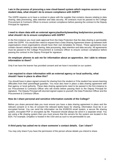#### <span id="page-14-0"></span>**I am in the process of procuring a new cloud-based system which requires access to our student data, what should I do to ensure compliance with GDPR?**

The GDPR requires us to have a contract in place with the supplier that contains clauses relating to data sharing, data processing, data retention and data security. All contracts must be passed to the College Procurement & Contracts Officer to ensure contract compliance before passing the contract to the Deputy Principal for signature.

#### <span id="page-14-1"></span>**I need to share data with an external agency/authority/awarding body/service provider, what should I do to ensure compliance with GDPR?**

In the first instance you must seek approval from the Data Protection that the data sharing is permissible under the GDPR. You would then need to request that a Data Sharing Agreement drawn up between both organisations (most organisations should have their own templates for these). These agreements must contain clauses relating to data sharing, data processing, data retention and data security. All agreements must be passed to the College Procurement & Contracts Officer to ensure contract compliance before passing the contract to the Deputy Principal for signature.

#### <span id="page-14-2"></span>**An employer phones to ask me for information about an apprentice. Am I able to release information to them?**

Only if we have the learner has provided consent and we have it recorded on our system.

#### <span id="page-14-3"></span>**I am required to share information with an external agency or local authority, what should I have in place to allow this?**

You should have in place signed consent for sharing from the student or if the student has severe learning difficulties from their parent/legal guardian. You must also have in place a data sharing agreement with that agency or local authority. These data sharing agreements need to be passed in the first instance to our Procurement & Contracts Officer who will review before passing them to the Deputy Principal for signature. The Deputy Principal will returned signed copies to yourself, the Data Protection Officer and the Procurement & Contracts Officer.

#### <span id="page-14-4"></span>**How do I share personal and sensitive information outside of the College?**

Before you share personal data you must ensure you have a data sharing agreement in place and the relevant consent or in lieu of consent the relevant lawful basis for sharing. Information must be in an encrypted format. You can send the information via the EGRESS email system, a secure file sharing system, encrypted PDF or encrypted zip file. Password should always be send in a separate email. You are using a file sharing system then you must ensure that the servers for the system are located in the EEA. For example, DropBox is hosted in the USA and as such is not permissible to use.

#### <span id="page-14-5"></span>**A third party has asked me to share someone`s contact details. Can I share?**

You may only share if you have the permission of the person whose details you intend to share.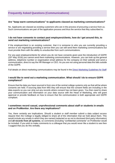#### <span id="page-15-1"></span><span id="page-15-0"></span>**Are "keep warm communications" to applicants classed as marketing communications?**

No. Applicants are classed as existing customers who are in the process of procuring a service from us. Such communications are part of the application process and thus the service that they subscribed to.

#### <span id="page-15-2"></span>**I do not have consents to contact past employers/clients, how do I get around this, to send out marketing communications?**

If the employer/client is an existing customer, that it is someone to who you are currently providing a service or are negotiating providing a service then you can still send them marketing communications but must provide them with the ability to unsubscribe from such communications.

For any past employers/clients for whom you do not have consents given post the introduction of GDPR (25th May 2018) you cannot send them marketing communications. However, you can look up the general address, telephone number or organisation email address for the company on their website and send a communication, direct to say the HR Manager or CEO. As you are not using personal data this falls outside of the GDPR.

Full details on direct marketing communications may be found in the Direct Marketing [Guidelines](https://portal.nescot.ac.uk/quality/Policies/Data%20Protection%20and%20Finance/Staff%20Guidelines%20for%20Direct%20Marketing%20-%20FINAL%20%20-%20Jun-18.docx) for Staff

#### <span id="page-15-3"></span>**I would like to send out a marketing communication. What should I do to ensure GDPR compliance?**

Ensure that the data you have sourced is from one of the central college systems only as that will be where consents are held. If sourcing data from MIS they will ensure that the consent fields are including in the data exports so you can strip out any records where consent has not been given. You then need to share your communication and information on your data source with the Head of Marketing, who will grant approval or provide feedback on how to ensure that the communication is both appropriate and GDPR compliant.

#### <span id="page-15-4"></span>**I sometimes record casual, unprofessional comments about staff or students in emails and on ProMonitor. Are there any implications?**

Yes, there certainly are implications. Should a student or staff member submit a data subject access request then the College is legally obliged to share all of the information that we hold about them. This would include any emails in which they are named (redacted so as not to disclosed third party information) and **all records from all systems**, so comments (including "confidential comments" on ProMonitor would be included. If you wish to make comments to a colleague that you would never like a student to see then I suggest that you do this verbally.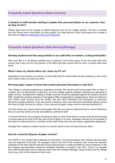#### <span id="page-16-1"></span><span id="page-16-0"></span>**A student or staff member wishing to update their personal details on our systems. How do they do this?**

Please direct them to the Change of Details Request Form on the college website. The form is located from the Privacy item in the About Us menu option. Our Data Services Team will progress the change in line with our [Rights of Individuals Policy](https://portal.nescot.ac.uk/quality/Policies/Data%20Protection%20and%20Finance/NESCOT%20Rights%20of%20Individuals%20Policy%20and%20Procedure.docx) and Procedure.

## <span id="page-16-2"></span>**Frequently Asked Questions (Data Security/Storage)**

#### <span id="page-16-3"></span>**We keep student work files and portfolios in our staff office on shelves, is that permissible?**

With such files it is not always possible due to volumes to lock these away. At the very least staff must ensure that if they are the only person in the office that they ensure that the door is locked when they leave.

#### <span id="page-16-4"></span>**When I leave my shared office can I leave my PC on?**

Depending on the duration you will be out of the office the PC should either be fully shutdown or the screen lock in place when you leave the office.

#### <span id="page-16-5"></span>**We keep paper copies of forms that contain personal information is that fine?**

The College is actively progressing to paperless working. We should avoid having paper files as there is a higher risk of a data breach or data loss. All of the college systems facilitate scanning and uploading of paper records. All paperwork relating to student records should be uploaded against the student record in EBS. ProMonitor (student tracking), ProEngage (CRM), Engage2Serve (applications), Resource (finance) and CIPHR (staff records) have this facility. We also have Filestream and Sharepoint as electronic document storage solutions. If you are unsure of where to store your electronic documents please contact the Head of Data Services for advice. Once scanned all paper copies must be securely disposed off.

If for any reason you cannot avoid having paper files then you need to make provision to ensure that these files are securely stored and only accessible by authorised staff.

To ensure minimum risk managers should put in place a Clear Desk Policy to ensure that all personal data is locked away at the end of the day and not lft on desks or in-trays. Managers will also be accountable in the event of a data breach by a member of their staff if they have not put in place appropriate safeguards.

All paper files relating to student records my only be stored in the CIS Data Services office.

#### <span id="page-16-6"></span>**How do I securely dispose of paper records?**

The GDPR is very explicit about disposal of information. Any documentation that contains personal data must be disposed of securely. All managers must at the end of the academic year review the retention schedule for the data that the hold and ensure that provision is made promptly for secure disposal. In the first instance documentation should be shredded (shredder is located in the LRC). If this is no feasible then staff should obtain secure disposal sacks from the Facilities Manager, being mindful that the college has to pay a fee for the disposal of each sack.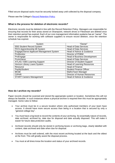Filled secure disposal sacks must be securely locked away until collected by the disposal company.

Please see the College's [Record Retention](https://portal.nescot.ac.uk/quality/Policies/Data%20Protection%20and%20Finance/NESCOT%20Records%20Retention%20Policy.docx) Policy.

#### <span id="page-17-0"></span>**What is the process for deletion of electronic records?**

Electronic records must be deleted in line with the Record Retention Policy. Managers are responsible for ensuring that records for their areas stored on Sharepoint, network drives or Filestream are deleted once their retention period has expired. Each of our core management information systems has an "owner". The owner is responsible for working with software suppliers to ensure record deletion, once the retention schedule has expired.

| System                                   | "Owner"                             |
|------------------------------------------|-------------------------------------|
| <b>EBS Student Record System</b>         | <b>Head of Data Services</b>        |
| <b>PICS Apprenticeship MI System</b>     | <b>Head of Data Services</b>        |
| Engage2Serve Applicant Management System | Head of Advice & Guidance           |
| ProMonitor                               | <b>Director of PDBW</b>             |
| ProEngage                                | <b>Head of Business Development</b> |
| ProAchieve                               | <b>Head of Data Services</b>        |
| <b>ATLAS</b> / EBS Learning Support      | <b>Director of Student Support</b>  |
| Horizon Library Loans System             | <b>Head of Learning Resources</b>   |
| Resource                                 | <b>Head of Finance</b>              |
| PayMyStudent                             | <b>Student Finance Officer</b>      |
| <b>BKSB</b>                              | MathsTeam Manager                   |
| <b>CIPHR</b>                             | <b>Director of Human Resources</b>  |
| <b>START Careers Management</b>          | Head of Advice & Guidance           |

#### <span id="page-17-1"></span>**How do I archive my records?**

Paper records should be scanned and stored the appropriate system or location. Sometimes this will not always be feasible. In such instances where a physical archive is required then this must be appropriately managed. Some rules to follow:

- Your archive must be in a secure location where only authorised members of your team have access. It should have more secure access than being in a location that is secured by only a "general college key".
- You must have a log book to record the contents of your archiving. So essentially nature of records, date archived, archived by, date due for disposal and date actually disposed. This will make it easier for future data protection audits.
- Archived records should only be stored in archiving boxes or archiving bags, clearly labelled with content, date archived and date when due for disposal.
- Archives must be well ordered, with the most recent archiving located at the back and the oldest at the front. This will greatly assist the disposal process.
- You must at all times know the location and status of your archived records.